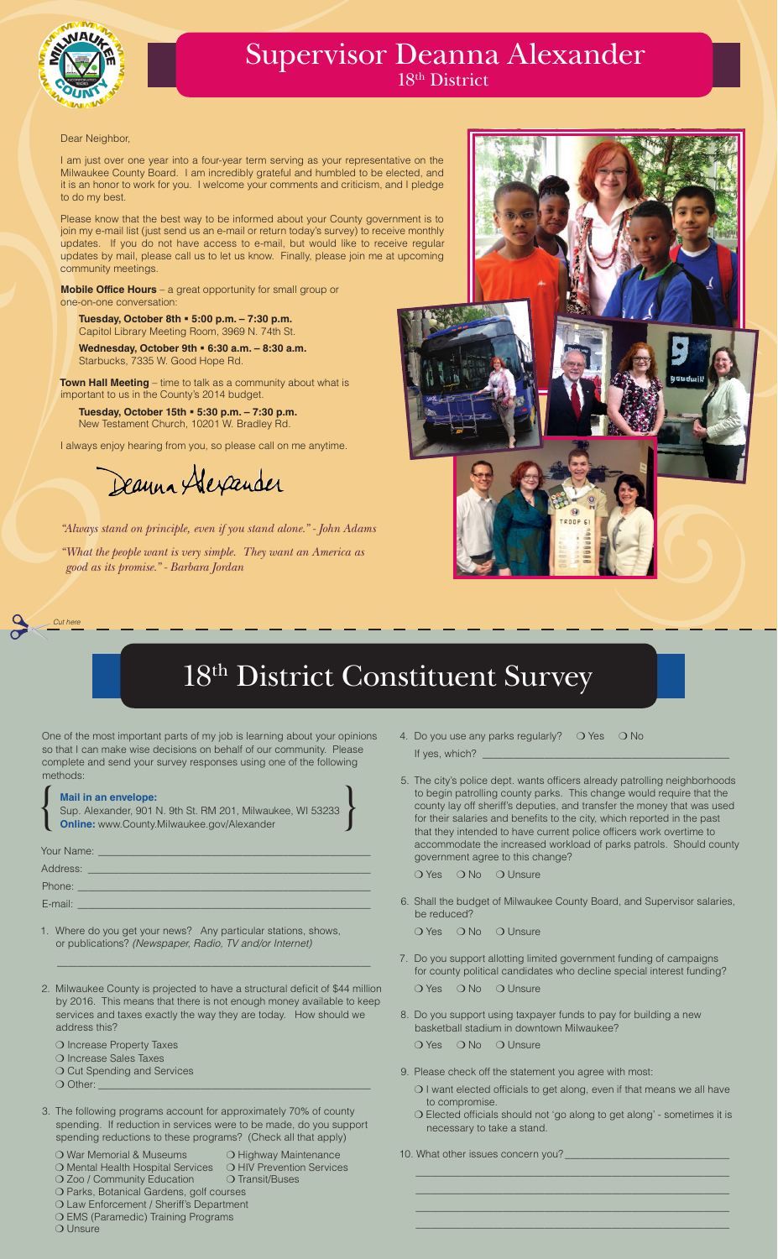*Cut here*

# 18th District Constituent Survey



### Supervisor Deanna Alexander 18<sup>th</sup> District

|                                                                                                                                                                                                      | <b>Mail in an envelope:</b><br>Sup. Alexander, 901 N. 9th St. RM 201, Milwaukee, WI 53233<br><b>Online:</b> www.County.Milwaukee.gov/Alexander |  |  |
|------------------------------------------------------------------------------------------------------------------------------------------------------------------------------------------------------|------------------------------------------------------------------------------------------------------------------------------------------------|--|--|
| <b>Your Name: Name: <i>Contract Market Contract Contract Contract Contract Contract Contract Contract Contract Contract Contract Contract Contract Contract Contract Contract Contract Contr</i></b> |                                                                                                                                                |  |  |
|                                                                                                                                                                                                      | Address: Andreas Address and Address and Address and Address and Address and Address and Address and Address a                                 |  |  |
|                                                                                                                                                                                                      | Phone: ____                                                                                                                                    |  |  |
| E-mail:                                                                                                                                                                                              |                                                                                                                                                |  |  |

One of the most important parts of my job is learning about your opinions so that I can make wise decisions on behalf of our community. Please complete and send your survey responses using one of the following methods:

\_\_\_\_\_\_\_\_\_\_\_\_\_\_\_\_\_\_\_\_\_\_\_\_\_\_\_\_\_\_\_\_\_\_\_\_\_\_\_\_\_\_\_\_\_\_\_\_\_\_\_\_\_\_\_\_\_\_\_\_\_

O Increase Property Taxes ❍ Increase Sales Taxes O Cut Spending and Services  $\bigcirc$  Other:  $\_$ 

- 1. Where do you get your news? Any particular stations, shows, or publications? *(Newspaper, Radio, TV and/or Internet)*
- 2. Milwaukee County is projected to have a structural deficit of \$44 million by 2016. This means that there is not enough money available to keep services and taxes exactly the way they are today. How should we address this?
- 4. Do you use any parks regularly?  $\bigcirc$  Yes  $\bigcirc$  No If yes, which?
- 5. The city's police dept. wants officers already patrolling neighborhoods to begin patrolling county parks. This change would require that the county lay off sheriff's deputies, and transfer the money that was used for their salaries and benefits to the city, which reported in the past that they intended to have current police officers work overtime to accommodate the increased workload of parks patrols. Should county government agree to this change?

O Yes O No O Unsure

3. The following programs account for approximately 70% of county spending. If reduction in services were to be made, do you support spending reductions to these programs? (Check all that apply)

6. Shall the budget of Milwaukee County Board, and Supervisor salaries, be reduced?



- 7. Do you support allotting limited government funding of campaigns for county political candidates who decline special interest funding?
	- O Yes O No O Unsure
- 8. Do you support using taxpayer funds to pay for building a new basketball stadium in downtown Milwaukee?

O Yes O No O Unsure

O War Memorial & Museums **O Highway Maintenance**  ❍ Mental Health Hospital Services ❍ HIV Prevention Services ❍ Zoo / Community Education ❍ Transit/Buses ❍ Parks, Botanical Gardens, golf courses ❍ Law Enforcement / Sheriff's Department ❍ EMS (Paramedic) Training Programs ❍ Unsure

O Yes O No O Unsure

- 9. Please check off the statement you agree with most:
	- ❍ I want elected officials to get along, even if that means we all have to compromise.
	- ❍ Elected officials should not 'go along to get along' sometimes it is necessary to take a stand.

| 10. What other issues concern you? |  |
|------------------------------------|--|
|                                    |  |
|                                    |  |

\_\_\_\_\_\_\_\_\_\_\_\_\_\_\_\_\_\_\_\_\_\_\_\_\_\_\_\_\_\_\_\_\_\_\_\_\_\_\_\_\_\_\_\_\_\_\_\_\_\_\_\_\_\_\_\_\_\_\_\_\_ \_\_\_\_\_\_\_\_\_\_\_\_\_\_\_\_\_\_\_\_\_\_\_\_\_\_\_\_\_\_\_\_\_\_\_\_\_\_\_\_\_\_\_\_\_\_\_\_\_\_\_\_\_\_\_\_\_\_\_\_\_

#### Dear Neighbor,

I am just over one year into a four-year term serving as your representative on the Milwaukee County Board. I am incredibly grateful and humbled to be elected, and it is an honor to work for you. I welcome your comments and criticism, and I pledge to do my best.

Please know that the best way to be informed about your County government is to join my e-mail list (just send us an e-mail or return today's survey) to receive monthly updates. If you do not have access to e-mail, but would like to receive regular updates by mail, please call us to let us know. Finally, please join me at upcoming community meetings.

**Mobile Office Hours** – a great opportunity for small group or one-on-one conversation:

 **Tuesday, October 8th 5:00 p.m. – 7:30 p.m.**  Capitol Library Meeting Room, 3969 N. 74th St.

 **Wednesday, October 9th 6:30 a.m. – 8:30 a.m.** Starbucks, 7335 W. Good Hope Rd.

**Town Hall Meeting** – time to talk as a community about what is important to us in the County's 2014 budget.

**Tuesday, October 15th 5:30 p.m. – 7:30 p.m.** New Testament Church, 10201 W. Bradley Rd.

I always enjoy hearing from you, so please call on me anytime.

Deanna Alexander

*"Always stand on principle, even if you stand alone." - John Adams*

*"What the people want is very simple. They want an America as good as its promise." - Barbara Jordan*